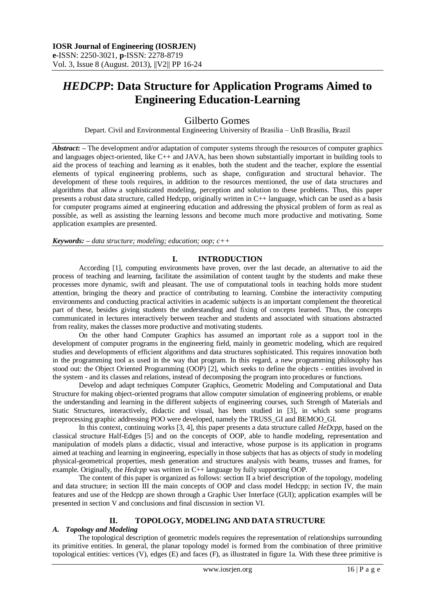# *HEDCPP***: Data Structure for Application Programs Aimed to Engineering Education-Learning**

Gilberto Gomes

Depart. Civil and Environmental Engineering University of Brasilia – UnB Brasília, Brazil

*Abstract*: – The development and/or adaptation of computer systems through the resources of computer graphics and languages object-oriented, like C++ and JAVA, has been shown substantially important in building tools to aid the process of teaching and learning as it enables, both the student and the teacher, explore the essential elements of typical engineering problems, such as shape, configuration and structural behavior. The development of these tools requires, in addition to the resources mentioned, the use of data structures and algorithms that allow a sophisticated modeling, perception and solution to these problems. Thus, this paper presents a robust data structure, called Hedcpp, originally written in C++ language, which can be used as a basis for computer programs aimed at engineering education and addressing the physical problem of form as real as possible, as well as assisting the learning lessons and become much more productive and motivating. Some application examples are presented.

*Keywords: – data structure; modeling; education; oop; c++*

## **I. INTRODUCTION**

According [1], computing environments have proven, over the last decade, an alternative to aid the process of teaching and learning, facilitate the assimilation of content taught by the students and make these processes more dynamic, swift and pleasant. The use of computational tools in teaching holds more student attention, bringing the theory and practice of contributing to learning. Combine the interactivity computing environments and conducting practical activities in academic subjects is an important complement the theoretical part of these, besides giving students the understanding and fixing of concepts learned. Thus, the concepts communicated in lectures interactively between teacher and students and associated with situations abstracted from reality, makes the classes more productive and motivating students.

On the other hand Computer Graphics has assumed an important role as a support tool in the development of computer programs in the engineering field, mainly in geometric modeling, which are required studies and developments of efficient algorithms and data structures sophisticated. This requires innovation both in the programming tool as used in the way that program. In this regard, a new programming philosophy has stood out: the Object Oriented Programming (OOP) [2], which seeks to define the objects - entities involved in the system - and its classes and relations, instead of decomposing the program into procedures or functions.

Develop and adapt techniques Computer Graphics, Geometric Modeling and Computational and Data Structure for making object-oriented programs that allow computer simulation of engineering problems, or enable the understanding and learning in the different subjects of engineering courses, such Strength of Materials and Static Structures, interactively, didactic and visual, has been studied in [3], in which some programs preprocessing graphic addressing POO were developed, namely the TRUSS\_GI and BEMOO\_GI.

In this context, continuing works [3, 4], this paper presents a data structure called *HeDcpp*, based on the classical structure Half-Edges [5] and on the concepts of OOP, able to handle modeling, representation and manipulation of models plans a didactic, visual and interactive, whose purpose is its application in programs aimed at teaching and learning in engineering, especially in those subjects that has as objects of study in modeling physical-geometrical properties, mesh generation and structures analysis with beams, trusses and frames, for example. Originally, the *Hedcpp* was written in C++ language by fully supporting OOP.

The content of this paper is organized as follows: section II a brief description of the topology, modeling and data structure; in section III the main concepts of OOP and class model Hedcpp; in section IV, the main features and use of the Hedcpp are shown through a Graphic User Interface (GUI); application examples will be presented in section V and conclusions and final discussion in section VI.

## **II. TOPOLOGY, MODELING AND DATA STRUCTURE**

#### *A. Topology and Modeling*

The topological description of geometric models requires the representation of relationships surrounding its primitive entities. In general, the planar topology model is formed from the combination of three primitive topological entities: vertices (V), edges (E) and faces (F), as illustrated in figure 1a. With these three primitive is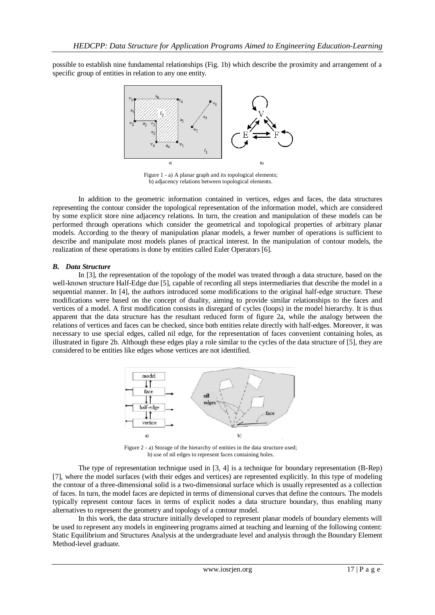possible to establish nine fundamental relationships (Fig. 1b) which describe the proximity and arrangement of a specific group of entities in relation to any one entity.



Figure 1 - a) A planar graph and its topological elements; b) adjacency relations between topological elements.

In addition to the geometric information contained in vertices, edges and faces, the data structures representing the contour consider the topological representation of the information model, which are considered by some explicit store nine adjacency relations. In turn, the creation and manipulation of these models can be performed through operations which consider the geometrical and topological properties of arbitrary planar models. According to the theory of manipulation planar models, a fewer number of operations is sufficient to describe and manipulate most models planes of practical interest. In the manipulation of contour models, the realization of these operations is done by entities called Euler Operators [6].

## *B. Data Structure*

In [3], the representation of the topology of the model was treated through a data structure, based on the well-known structure Half-Edge due [5], capable of recording all steps intermediaries that describe the model in a sequential manner. In [4], the authors introduced some modifications to the original half-edge structure. These modifications were based on the concept of duality, aiming to provide similar relationships to the faces and vertices of a model. A first modification consists in disregard of cycles (loops) in the model hierarchy. It is thus apparent that the data structure has the resultant reduced form of figure 2a, while the analogy between the relations of vertices and faces can be checked, since both entities relate directly with half-edges. Moreover, it was necessary to use special edges, called nil edge, for the representation of faces convenient containing holes, as illustrated in figure 2b. Although these edges play a role similar to the cycles of the data structure of [5], they are considered to be entities like edges whose vertices are not identified.



Figure 2 - a) Storage of the hierarchy of entities in the data structure used; b) use of nil edges to represent faces containing holes.

The type of representation technique used in [3, 4] is a technique for boundary representation (B-Rep) [7], where the model surfaces (with their edges and vertices) are represented explicitly. In this type of modeling the contour of a three-dimensional solid is a two-dimensional surface which is usually represented as a collection of faces. In turn, the model faces are depicted in terms of dimensional curves that define the contours. The models typically represent contour faces in terms of explicit nodes a data structure boundary, thus enabling many alternatives to represent the geometry and topology of a contour model.

In this work, the data structure initially developed to represent planar models of boundary elements will be used to represent any models in engineering programs aimed at teaching and learning of the following content: Static Equilibrium and Structures Analysis at the undergraduate level and analysis through the Boundary Element Method-level graduate.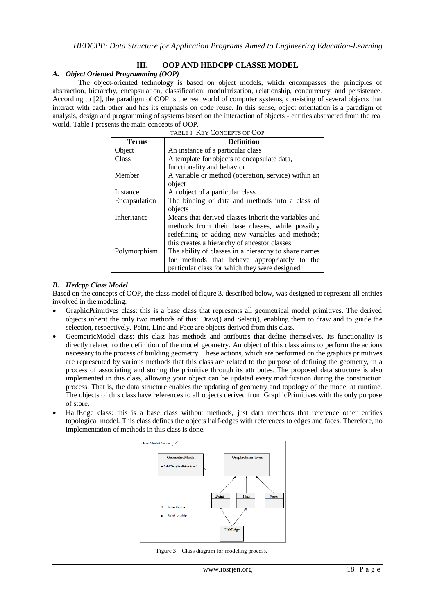## **III. OOP AND HEDCPP CLASSE MODEL**

#### *A. Object Oriented Programming (OOP)*

The object-oriented technology is based on object models, which encompasses the principles of abstraction, hierarchy, encapsulation, classification, modularization, relationship, concurrency, and persistence. According to [2], the paradigm of OOP is the real world of computer systems, consisting of several objects that interact with each other and has its emphasis on code reuse. In this sense, object orientation is a paradigm of analysis, design and programming of systems based on the interaction of objects - entities abstracted from the real world. Table I presents the main concepts of OOP.

| TABLE I. KEY CONCEPTS OF OOP |                                                      |
|------------------------------|------------------------------------------------------|
| <b>Terms</b>                 | <b>Definition</b>                                    |
| Object                       | An instance of a particular class                    |
| Class                        | A template for objects to encapsulate data,          |
|                              | functionality and behavior                           |
| Member                       | A variable or method (operation, service) within an  |
|                              | object                                               |
| Instance                     | An object of a particular class                      |
| Encapsulation                | The binding of data and methods into a class of      |
|                              | objects                                              |
| Inheritance                  | Means that derived classes inherit the variables and |
|                              | methods from their base classes, while possibly      |
|                              | redefining or adding new variables and methods;      |
|                              | this creates a hierarchy of ancestor classes         |
| Polymorphism                 | The ability of classes in a hierarchy to share names |
|                              | for methods that behave appropriately to the         |
|                              | particular class for which they were designed        |

#### *B. Hedcpp Class Model*

Based on the concepts of OOP, the class model of figure 3, described below, was designed to represent all entities involved in the modeling.

- GraphicPrimitives class: this is a base class that represents all geometrical model primitives. The derived objects inherit the only two methods of this: Draw() and Select(), enabling them to draw and to guide the selection, respectively. Point, Line and Face are objects derived from this class.
- GeometricModel class: this class has methods and attributes that define themselves. Its functionality is directly related to the definition of the model geometry. An object of this class aims to perform the actions necessary to the process of building geometry. These actions, which are performed on the graphics primitives are represented by various methods that this class are related to the purpose of defining the geometry, in a process of associating and storing the primitive through its attributes. The proposed data structure is also implemented in this class, allowing your object can be updated every modification during the construction process. That is, the data structure enables the updating of geometry and topology of the model at runtime. The objects of this class have references to all objects derived from GraphicPrimitives with the only purpose of store.
- HalfEdge class: this is a base class without methods, just data members that reference other entities topological model. This class defines the objects half-edges with references to edges and faces. Therefore, no implementation of methods in this class is done.



Figure 3 – Class diagram for modeling process.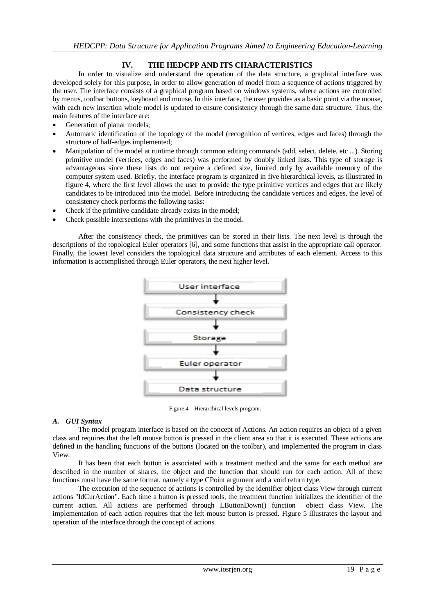# **IV. THE HEDCPP AND ITS CHARACTERISTICS**

In order to visualize and understand the operation of the data structure, a graphical interface was developed solely for this purpose, in order to allow generation of model from a sequence of actions triggered by the user. The interface consists of a graphical program based on windows systems, where actions are controlled by menus, toolbar buttons, keyboard and mouse. In this interface, the user provides as a basic point via the mouse, with each new insertion whole model is updated to ensure consistency through the same data structure. Thus, the main features of the interface are:

- Generation of planar models;
- Automatic identification of the topology of the model (recognition of vertices, edges and faces) through the structure of half-edges implemented;
- Manipulation of the model at runtime through common editing commands (add, select, delete, etc ...). Storing primitive model (vertices, edges and faces) was performed by doubly linked lists. This type of storage is advantageous since these lists do not require a defined size, limited only by available memory of the computer system used. Briefly, the interface program is organized in five hierarchical levels, as illustrated in figure 4, where the first level allows the user to provide the type primitive vertices and edges that are likely candidates to be introduced into the model. Before introducing the candidate vertices and edges, the level of consistency check performs the following tasks:
- Check if the primitive candidate already exists in the model;
- Check possible intersections with the primitives in the model.

After the consistency check, the primitives can be stored in their lists. The next level is through the descriptions of the topological Euler operators [6], and some functions that assist in the appropriate call operator. Finally, the lowest level considers the topological data structure and attributes of each element. Access to this information is accomplished through Euler operators, the next higher level.



Figure 4 – Hierarchical levels program.

## *A. GUI Syntax*

The model program interface is based on the concept of Actions. An action requires an object of a given class and requires that the left mouse button is pressed in the client area so that it is executed. These actions are defined in the handling functions of the buttons (located on the toolbar), and implemented the program in class View.

It has been that each button is associated with a treatment method and the same for each method are described in the number of shares, the object and the function that should run for each action. All of these functions must have the same format, namely a type CPoint argument and a void return type.

The execution of the sequence of actions is controlled by the identifier object class View through current actions "IdCurAction". Each time a button is pressed tools, the treatment function initializes the identifier of the current action. All actions are performed through LButtonDown() function object class View. The implementation of each action requires that the left mouse button is pressed. Figure 5 illustrates the layout and operation of the interface through the concept of actions.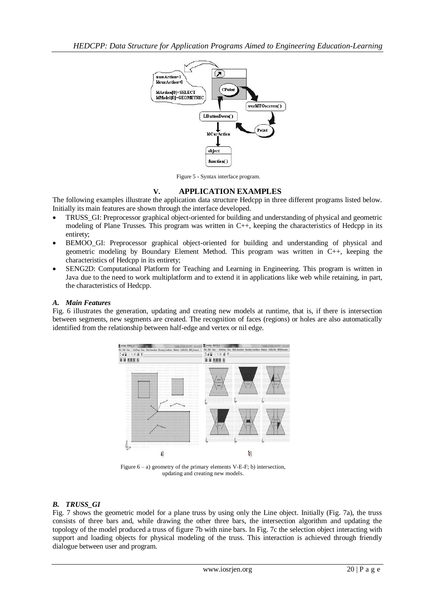

Figure 5 - Syntax interface program.

## **V. APPLICATION EXAMPLES**

The following examples illustrate the application data structure Hedcpp in three different programs listed below. Initially its main features are shown through the interface developed.

- TRUSS GI: Preprocessor graphical object-oriented for building and understanding of physical and geometric modeling of Plane Trusses. This program was written in C++, keeping the characteristics of Hedcpp in its entirety;
- BEMOO\_GI: Preprocessor graphical object-oriented for building and understanding of physical and geometric modeling by Boundary Element Method. This program was written in C++, keeping the characteristics of Hedcpp in its entirety;
- SENG2D: Computational Platform for Teaching and Learning in Engineering. This program is written in Java due to the need to work multiplatform and to extend it in applications like web while retaining, in part, the characteristics of Hedcpp.

## *A. Main Features*

Fig. 6 illustrates the generation, updating and creating new models at runtime, that is, if there is intersection between segments, new segments are created. The recognition of faces (regions) or holes are also automatically identified from the relationship between half-edge and vertex or nil edge.



Figure 6 – a) geometry of the primary elements V-E-F; b) intersection, updating and creating new models.

## *B. TRUSS\_GI*

Fig. 7 shows the geometric model for a plane truss by using only the Line object. Initially (Fig. 7a), the truss consists of three bars and, while drawing the other three bars, the intersection algorithm and updating the topology of the model produced a truss of figure 7b with nine bars. In Fig. 7c the selection object interacting with support and loading objects for physical modeling of the truss. This interaction is achieved through friendly dialogue between user and program.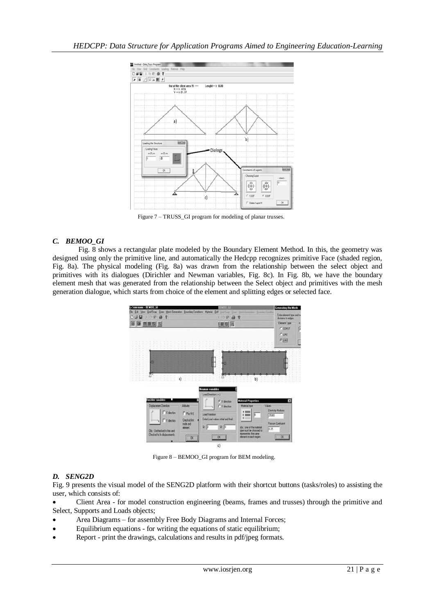

Figure 7 – TRUSS\_GI program for modeling of planar trusses.

## *C. BEMOO\_GI*

Fig. 8 shows a rectangular plate modeled by the Boundary Element Method. In this, the geometry was designed using only the primitive line, and automatically the Hedcpp recognizes primitive Face (shaded region, Fig. 8a). The physical modeling (Fig. 8a) was drawn from the relationship between the select object and primitives with its dialogues (Dirichler and Newman variables, Fig. 8c). In Fig. 8b, we have the boundary element mesh that was generated from the relationship between the Select object and primitives with the mesh generation dialogue, which starts from choice of the element and splitting edges or selected face.



Figure 8 – BEMOO\_GI program for BEM modeling.

## *D. SENG2D*

Fig. 9 presents the visual model of the SENG2D platform with their shortcut buttons (tasks/roles) to assisting the user, which consists of:

 Client Area - for model construction engineering (beams, frames and trusses) through the primitive and Select, Supports and Loads objects;

- Area Diagrams for assembly Free Body Diagrams and Internal Forces;
- Equilibrium equations for writing the equations of static equilibrium;
- Report print the drawings, calculations and results in pdf/jpeg formats.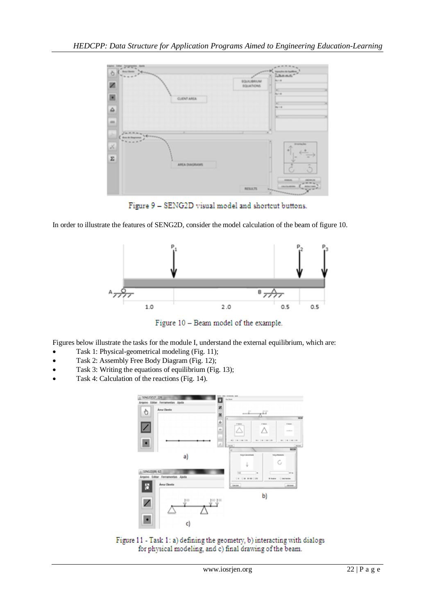

Figure 9 - SENG2D visual model and shortcut buttons.

In order to illustrate the features of SENG2D, consider the model calculation of the beam of figure 10.



Figure 10 - Beam model of the example.

Figures below illustrate the tasks for the module I, understand the external equilibrium, which are:

- Task 1: Physical-geometrical modeling (Fig. 11);
- Task 2: Assembly Free Body Diagram (Fig. 12);
- Task 3: Writing the equations of equilibrium (Fig. 13);
- Task 4: Calculation of the reactions (Fig. 14).



Figure 11 - Task 1: a) defining the geometry, b) interacting with dialogs for physical modeling, and c) final drawing of the beam.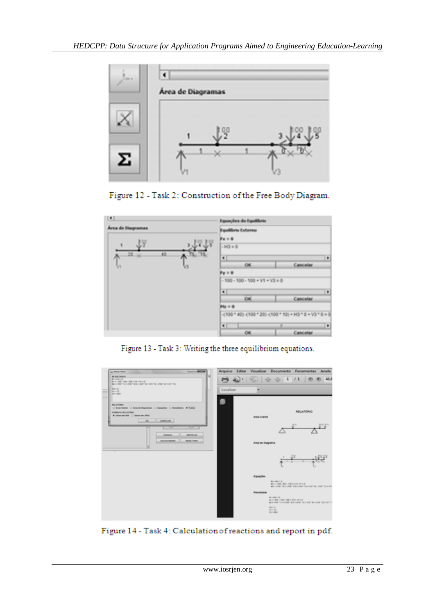





Figure 13 - Task 3: Writing the three equilibrium equations.



Figure 14 - Task 4: Calculation of reactions and report in pdf.